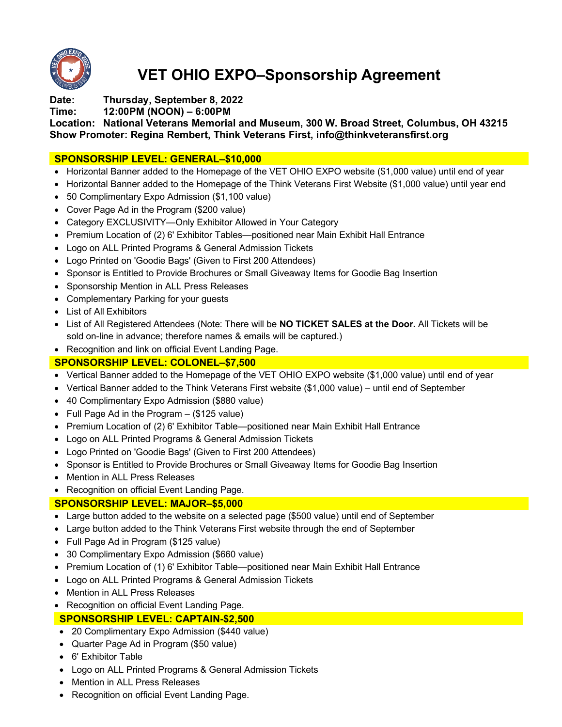

# **VET OHIO EXPO–Sponsorship Agreement**

**Date: Thursday, September 8, 2022**

**Time: 12:00PM (NOON) – 6:00PM**

**Location: National Veterans Memorial and Museum, 300 W. Broad Street, Columbus, OH 43215 Show Promoter: Regina Rembert, Think Veterans First, info@thinkveteransfirst.org**

## **SPONSORSHIP LEVEL: GENERAL–\$10,000**

- Horizontal Banner added to the Homepage of the VET OHIO EXPO website (\$1,000 value) until end of year
- Horizontal Banner added to the Homepage of the Think Veterans First Website (\$1,000 value) until year end
- 50 Complimentary Expo Admission (\$1,100 value)
- Cover Page Ad in the Program (\$200 value)
- Category EXCLUSIVITY—Only Exhibitor Allowed in Your Category
- Premium Location of (2) 6' Exhibitor Tables—positioned near Main Exhibit Hall Entrance
- Logo on ALL Printed Programs & General Admission Tickets
- Logo Printed on 'Goodie Bags' (Given to First 200 Attendees)
- Sponsor is Entitled to Provide Brochures or Small Giveaway Items for Goodie Bag Insertion
- Sponsorship Mention in ALL Press Releases
- Complementary Parking for your guests
- List of All Exhibitors
- List of All Registered Attendees (Note: There will be **NO TICKET SALES at the Door.** All Tickets will be sold on-line in advance; therefore names & emails will be captured.)
- Recognition and link on official Event Landing Page.

## **SPONSORSHIP LEVEL: COLONEL–\$7,500**

- Vertical Banner added to the Homepage of the VET OHIO EXPO website (\$1,000 value) until end of year
- Vertical Banner added to the Think Veterans First website (\$1,000 value) until end of September
- 40 Complimentary Expo Admission (\$880 value)
- Full Page Ad in the Program (\$125 value)
- Premium Location of (2) 6' Exhibitor Table—positioned near Main Exhibit Hall Entrance
- Logo on ALL Printed Programs & General Admission Tickets
- Logo Printed on 'Goodie Bags' (Given to First 200 Attendees)
- Sponsor is Entitled to Provide Brochures or Small Giveaway Items for Goodie Bag Insertion
- Mention in ALL Press Releases
- Recognition on official Event Landing Page.

## **SPONSORSHIP LEVEL: MAJOR–\$5,000**

- Large button added to the website on a selected page (\$500 value) until end of September
- Large button added to the Think Veterans First website through the end of September
- Full Page Ad in Program (\$125 value)
- 30 Complimentary Expo Admission (\$660 value)
- Premium Location of (1) 6' Exhibitor Table—positioned near Main Exhibit Hall Entrance
- Logo on ALL Printed Programs & General Admission Tickets
- Mention in ALL Press Releases
- Recognition on official Event Landing Page.

## **SPONSORSHIP LEVEL: CAPTAIN-\$2,500**

- 20 Complimentary Expo Admission (\$440 value)
- Quarter Page Ad in Program (\$50 value)
- 6' Exhibitor Table
- Logo on ALL Printed Programs & General Admission Tickets
- Mention in ALL Press Releases
- Recognition on official Event Landing Page.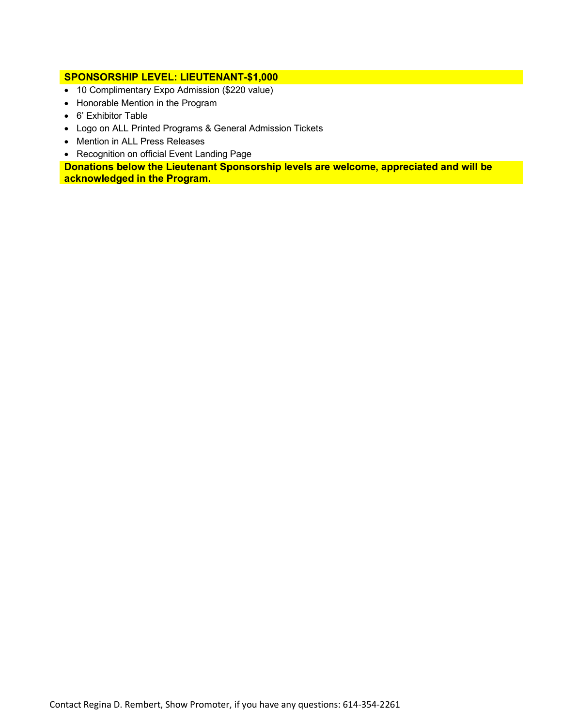#### **SPONSORSHIP LEVEL: LIEUTENANT-\$1,000**

- 10 Complimentary Expo Admission (\$220 value)
- Honorable Mention in the Program
- 6' Exhibitor Table
- Logo on ALL Printed Programs & General Admission Tickets
- Mention in ALL Press Releases
- Recognition on official Event Landing Page

**Donations below the Lieutenant Sponsorship levels are welcome, appreciated and will be acknowledged in the Program.**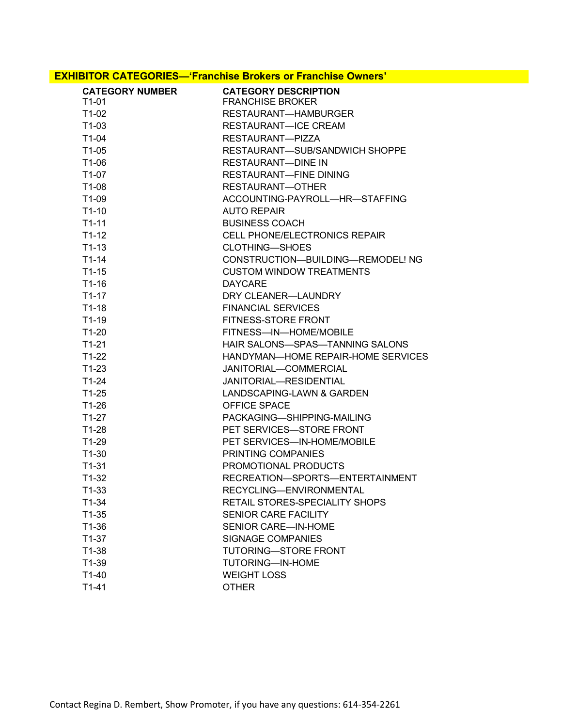### **EXHIBITOR CATEGORIES—'Franchise Brokers or Franchise Owners'**

| <b>CATEGORY NUMBER</b> | <b>CATEGORY DESCRIPTION</b>          |  |  |
|------------------------|--------------------------------------|--|--|
| $T1-01$                | <b>FRANCHISE BROKER</b>              |  |  |
| $T1-02$                | RESTAURANT-HAMBURGER                 |  |  |
| $T1-03$                | <b>RESTAURANT-ICE CREAM</b>          |  |  |
| $T1-04$                | RESTAURANT-PIZZA                     |  |  |
| $T1-05$                | RESTAURANT-SUB/SANDWICH SHOPPE       |  |  |
| T1-06                  | <b>RESTAURANT-DINE IN</b>            |  |  |
| $T1-07$                | <b>RESTAURANT-FINE DINING</b>        |  |  |
| $T1-08$                | RESTAURANT-OTHER                     |  |  |
| $T1-09$                | ACCOUNTING-PAYROLL-HR-STAFFING       |  |  |
| $T1-10$                | AUTO REPAIR                          |  |  |
| $T1-11$                | <b>BUSINESS COACH</b>                |  |  |
| $T1-12$                | <b>CELL PHONE/ELECTRONICS REPAIR</b> |  |  |
| $T1-13$                | <b>CLOTHING-SHOES</b>                |  |  |
| $T1-14$                | CONSTRUCTION-BUILDING-REMODEL! NG    |  |  |
| $T1-15$                | <b>CUSTOM WINDOW TREATMENTS</b>      |  |  |
| $T1-16$                | <b>DAYCARE</b>                       |  |  |
| $T1-17$                | DRY CLEANER-LAUNDRY                  |  |  |
| $T1-18$                | <b>FINANCIAL SERVICES</b>            |  |  |
| $T1-19$                | <b>FITNESS-STORE FRONT</b>           |  |  |
| $T1-20$                | FITNESS-IN-HOME/MOBILE               |  |  |
| $T1-21$                | HAIR SALONS-SPAS-TANNING SALONS      |  |  |
| $T1-22$                | HANDYMAN—HOME REPAIR-HOME SERVICES   |  |  |
| $T1-23$                | JANITORIAL-COMMERCIAL                |  |  |
| $T1-24$                | JANITORIAL-RESIDENTIAL               |  |  |
| $T1-25$                | LANDSCAPING-LAWN & GARDEN            |  |  |
| $T1-26$                | OFFICE SPACE                         |  |  |
| $T1-27$                | PACKAGING-SHIPPING-MAILING           |  |  |
| $T1-28$                | PET SERVICES-STORE FRONT             |  |  |
| $T1-29$                | PET SERVICES-IN-HOME/MOBILE          |  |  |
| $T1-30$                | PRINTING COMPANIES                   |  |  |
| $T1-31$                | PROMOTIONAL PRODUCTS                 |  |  |
| $T1-32$                | RECREATION-SPORTS-ENTERTAINMENT      |  |  |
| $T1-33$                | RECYCLING-ENVIRONMENTAL              |  |  |
| T1-34                  | RETAIL STORES-SPECIALITY SHOPS       |  |  |
| $T1-35$                | <b>SENIOR CARE FACILITY</b>          |  |  |
| $T1-36$                | <b>SENIOR CARE—IN-HOME</b>           |  |  |
| $T1-37$                | <b>SIGNAGE COMPANIES</b>             |  |  |
| $T1-38$                | <b>TUTORING-STORE FRONT</b>          |  |  |
| $T1-39$                | TUTORING-IN-HOME                     |  |  |
| $T1-40$                | <b>WEIGHT LOSS</b>                   |  |  |
| $T1-41$                | <b>OTHER</b>                         |  |  |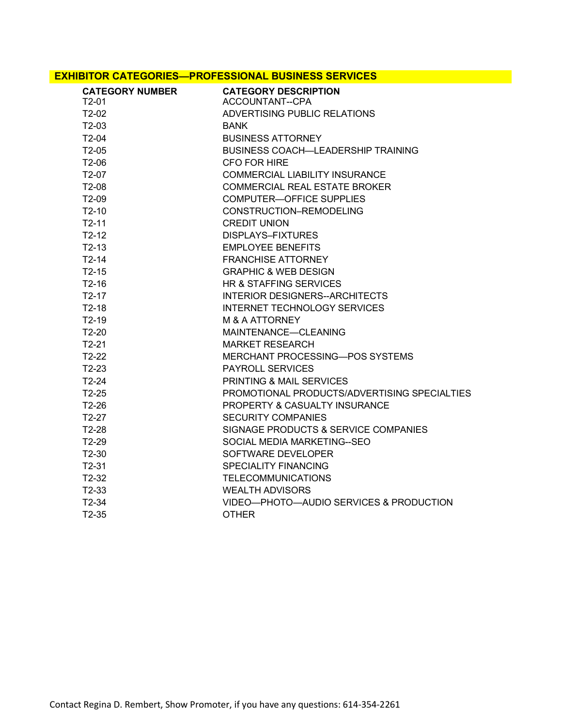#### **EXHIBITOR CATEGORIES—PROFESSIONAL BUSINESS SERVICES**

| <b>CATEGORY NUMBER</b><br>T <sub>2</sub> -01 | <b>CATEGORY DESCRIPTION</b><br>ACCOUNTANT--CPA |  |
|----------------------------------------------|------------------------------------------------|--|
| T2-02                                        | ADVERTISING PUBLIC RELATIONS                   |  |
| $T2-03$                                      | <b>BANK</b>                                    |  |
| $T2-04$                                      | <b>BUSINESS ATTORNEY</b>                       |  |
| $T2-05$                                      | <b>BUSINESS COACH-LEADERSHIP TRAINING</b>      |  |
| T <sub>2</sub> -06                           | CFO FOR HIRE                                   |  |
| $T2-07$                                      | <b>COMMERCIAL LIABILITY INSURANCE</b>          |  |
| $T2-08$                                      | <b>COMMERCIAL REAL ESTATE BROKER</b>           |  |
| $T2-09$                                      | <b>COMPUTER-OFFICE SUPPLIES</b>                |  |
| $T2-10$                                      | CONSTRUCTION-REMODELING                        |  |
| $T2-11$                                      | <b>CREDIT UNION</b>                            |  |
| $T2-12$                                      | DISPLAYS-FIXTURES                              |  |
| $T2-13$                                      | <b>EMPLOYEE BENEFITS</b>                       |  |
| $T2-14$                                      | <b>FRANCHISE ATTORNEY</b>                      |  |
| $T2-15$                                      | <b>GRAPHIC &amp; WEB DESIGN</b>                |  |
| $T2-16$                                      | HR & STAFFING SERVICES                         |  |
| $T2-17$                                      | INTERIOR DESIGNERS--ARCHITECTS                 |  |
| $T2-18$                                      | <b>INTERNET TECHNOLOGY SERVICES</b>            |  |
| $T2-19$                                      | M & A ATTORNEY                                 |  |
| $T2-20$                                      | MAINTENANCE-CLEANING                           |  |
| $T2-21$                                      | <b>MARKET RESEARCH</b>                         |  |
| $T2-22$                                      | <b>MERCHANT PROCESSING-POS SYSTEMS</b>         |  |
| $T2-23$                                      | PAYROLL SERVICES                               |  |
| $T2-24$                                      | PRINTING & MAIL SERVICES                       |  |
| $T2-25$                                      | PROMOTIONAL PRODUCTS/ADVERTISING SPECIALTIES   |  |
| $T2-26$                                      | <b>PROPERTY &amp; CASUALTY INSURANCE</b>       |  |
| $T2-27$                                      | <b>SECURITY COMPANIES</b>                      |  |
| $T2-28$                                      | SIGNAGE PRODUCTS & SERVICE COMPANIES           |  |
| $T2-29$                                      | SOCIAL MEDIA MARKETING--SEO                    |  |
| $T2-30$                                      | SOFTWARE DEVELOPER                             |  |
| $T2-31$                                      | SPECIALITY FINANCING                           |  |
| $T2-32$                                      | <b>TELECOMMUNICATIONS</b>                      |  |
| $T2-33$                                      | <b>WEALTH ADVISORS</b>                         |  |
| $T2-34$                                      | VIDEO-PHOTO-AUDIO SERVICES & PRODUCTION        |  |
| $T2-35$                                      | <b>OTHER</b>                                   |  |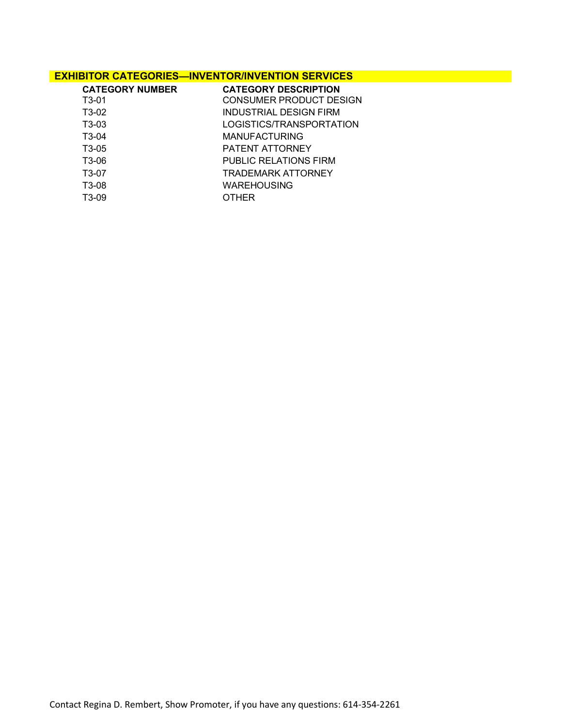### **EXHIBITOR CATEGORIES—INVENTOR/INVENTION SERVICES**

| <b>CATEGORY NUMBER</b> | <b>CATEGORY DESCRIPTION</b>  |
|------------------------|------------------------------|
| T <sub>3</sub> -01     | CONSUMER PRODUCT DESIGN      |
| T3-02                  | INDUSTRIAL DESIGN FIRM       |
| T3-03                  | LOGISTICS/TRANSPORTATION     |
| T3-04                  | <b>MANUFACTURING</b>         |
| T <sub>3</sub> -05     | PATENT ATTORNEY              |
| T3-06                  | <b>PUBLIC RELATIONS FIRM</b> |
| T3-07                  | TRADEMARK ATTORNEY           |
| T3-08                  | WAREHOUSING                  |
| T <sub>3</sub> -09     | <b>OTHER</b>                 |
|                        |                              |